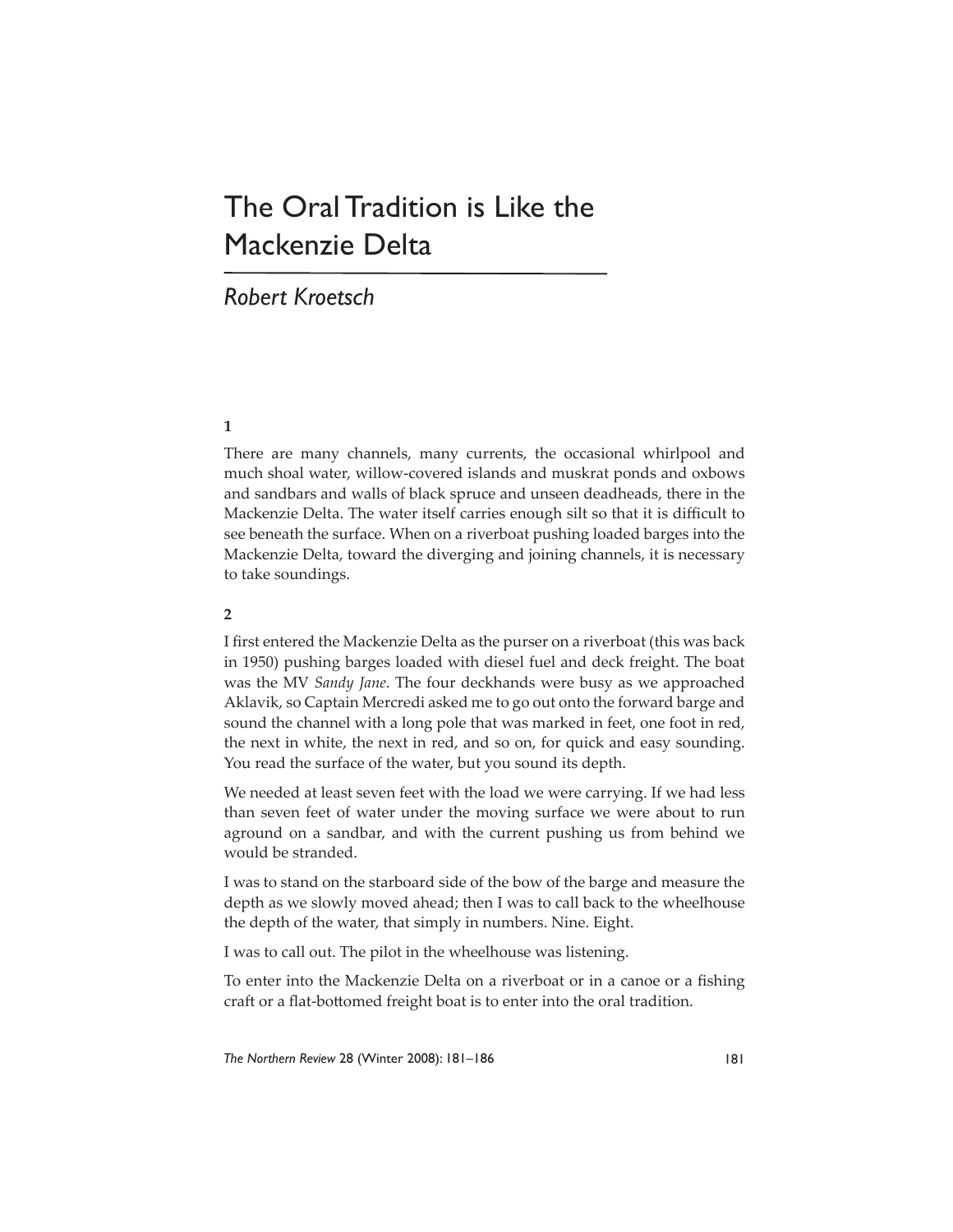# The Oral Tradition is Like the Mackenzie Delta

# *Robert Kroetsch*

# **1**

There are many channels, many currents, the occasional whirlpool and much shoal water, willow-covered islands and muskrat ponds and oxbows and sandbars and walls of black spruce and unseen deadheads, there in the Mackenzie Delta. The water itself carries enough silt so that it is difficult to see beneath the surface. When on a riverboat pushing loaded barges into the Mackenzie Delta, toward the diverging and joining channels, it is necessary to take soundings.

#### **2**

I first entered the Mackenzie Delta as the purser on a riverboat (this was back in 1950) pushing barges loaded with diesel fuel and deck freight. The boat was the MV *Sandy Jane*. The four deckhands were busy as we approached Aklavik, so Captain Mercredi asked me to go out onto the forward barge and sound the channel with a long pole that was marked in feet, one foot in red, the next in white, the next in red, and so on, for quick and easy sounding. You read the surface of the water, but you sound its depth.

We needed at least seven feet with the load we were carrying. If we had less than seven feet of water under the moving surface we were about to run aground on a sandbar, and with the current pushing us from behind we would be stranded.

I was to stand on the starboard side of the bow of the barge and measure the depth as we slowly moved ahead; then I was to call back to the wheelhouse the depth of the water, that simply in numbers. Nine. Eight.

I was to call out. The pilot in the wheelhouse was listening.

To enter into the Mackenzie Delta on a riverboat or in a canoe or a fishing craft or a flat-bottomed freight boat is to enter into the oral tradition.

*The Northern Review* 28 (Winter 2008): 181–186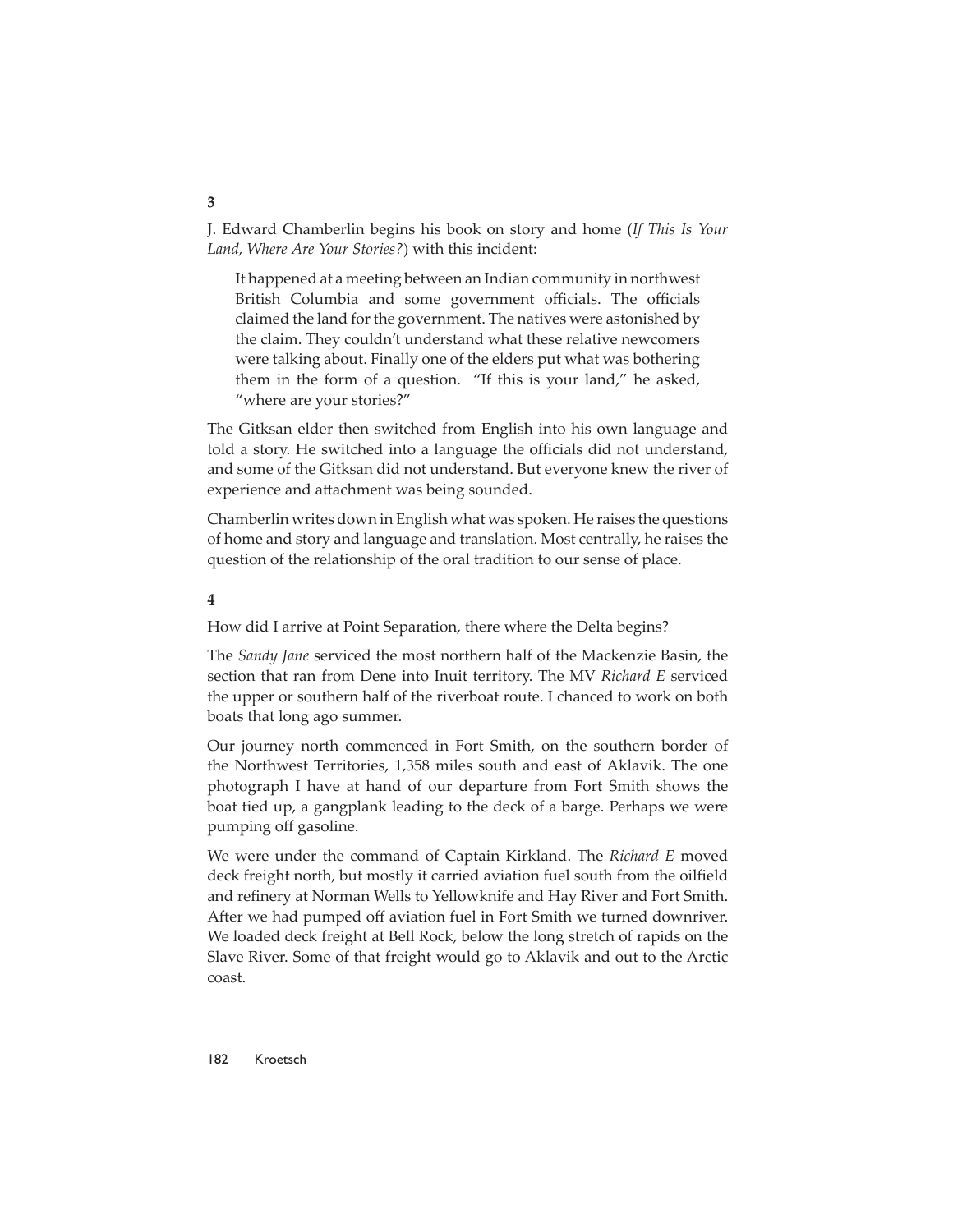J. Edward Chamberlin begins his book on story and home (*If This Is Your Land, Where Are Your Stories?*) with this incident:

It happened at a meeting between an Indian community in northwest British Columbia and some government officials. The officials claimed the land for the government. The natives were astonished by the claim. They couldn't understand what these relative newcomers were talking about. Finally one of the elders put what was bothering them in the form of a question. "If this is your land," he asked, "where are your stories?"

The Gitksan elder then switched from English into his own language and told a story. He switched into a language the officials did not understand, and some of the Gitksan did not understand. But everyone knew the river of experience and attachment was being sounded.

Chamberlin writes down in English what was spoken. He raises the questions of home and story and language and translation. Most centrally, he raises the question of the relationship of the oral tradition to our sense of place.

**4**

How did I arrive at Point Separation, there where the Delta begins?

The *Sandy Jane* serviced the most northern half of the Mackenzie Basin, the section that ran from Dene into Inuit territory. The MV *Richard E* serviced the upper or southern half of the riverboat route. I chanced to work on both boats that long ago summer.

Our journey north commenced in Fort Smith, on the southern border of the Northwest Territories, 1,358 miles south and east of Aklavik. The one photograph I have at hand of our departure from Fort Smith shows the boat tied up, a gangplank leading to the deck of a barge. Perhaps we were pumping off gasoline.

We were under the command of Captain Kirkland. The *Richard E* moved deck freight north, but mostly it carried aviation fuel south from the oilfield and refinery at Norman Wells to Yellowknife and Hay River and Fort Smith. After we had pumped off aviation fuel in Fort Smith we turned downriver. We loaded deck freight at Bell Rock, below the long stretch of rapids on the Slave River. Some of that freight would go to Aklavik and out to the Arctic coast.

**3**

182 Kroetsch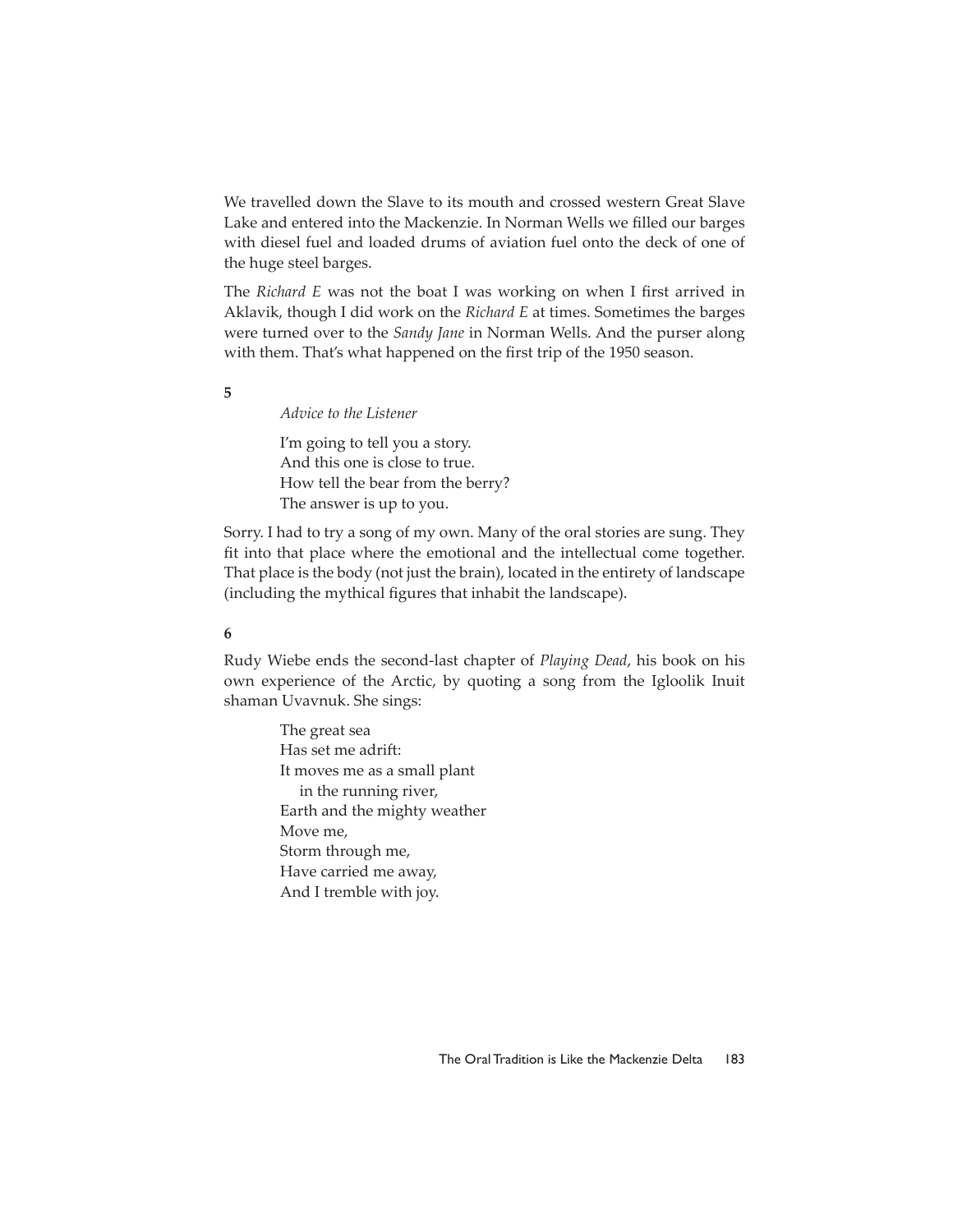We travelled down the Slave to its mouth and crossed western Great Slave Lake and entered into the Mackenzie. In Norman Wells we filled our barges with diesel fuel and loaded drums of aviation fuel onto the deck of one of the huge steel barges.

The *Richard E* was not the boat I was working on when I first arrived in Aklavik, though I did work on the *Richard E* at times. Sometimes the barges were turned over to the *Sandy Jane* in Norman Wells. And the purser along with them. That's what happened on the first trip of the 1950 season.

**5**

*Advice to the Listener*

I'm going to tell you a story. And this one is close to true. How tell the bear from the berry? The answer is up to you.

Sorry. I had to try a song of my own. Many of the oral stories are sung. They fit into that place where the emotional and the intellectual come together. That place is the body (not just the brain), located in the entirety of landscape (including the mythical figures that inhabit the landscape).

### **6**

Rudy Wiebe ends the second-last chapter of *Playing Dead*, his book on his own experience of the Arctic, by quoting a song from the Igloolik Inuit shaman Uvavnuk. She sings:

> The great sea Has set me adrift: It moves me as a small plant in the running river, Earth and the mighty weather Move me, Storm through me, Have carried me away, And I tremble with joy.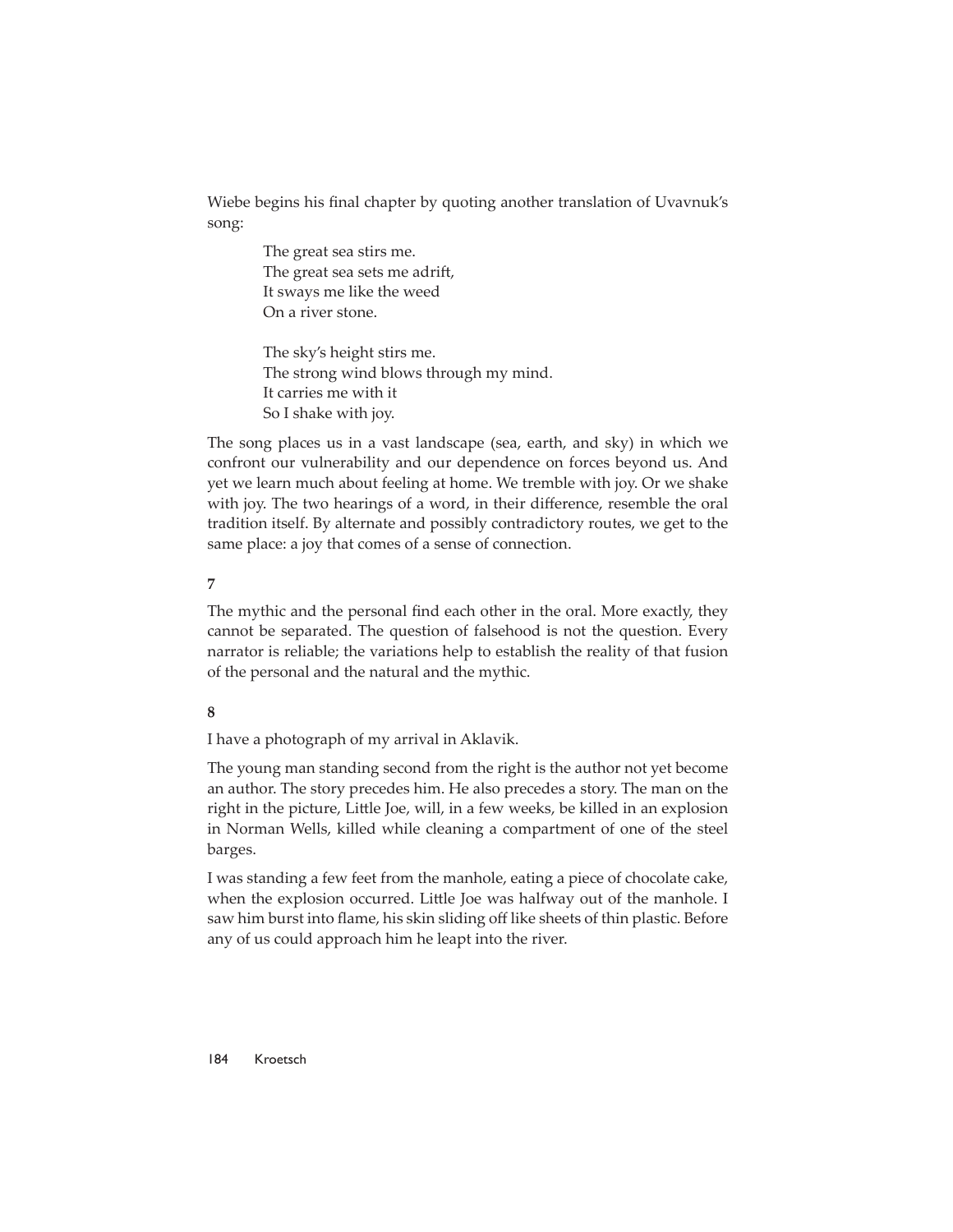Wiebe begins his final chapter by quoting another translation of Uvavnuk's song:

> The great sea stirs me. The great sea sets me adrift, It sways me like the weed On a river stone.

The sky's height stirs me. The strong wind blows through my mind. It carries me with it So I shake with joy.

The song places us in a vast landscape (sea, earth, and sky) in which we confront our vulnerability and our dependence on forces beyond us. And yet we learn much about feeling at home. We tremble with joy. Or we shake with joy. The two hearings of a word, in their difference, resemble the oral tradition itself. By alternate and possibly contradictory routes, we get to the same place: a joy that comes of a sense of connection.

#### **7**

The mythic and the personal find each other in the oral. More exactly, they cannot be separated. The question of falsehood is not the question. Every narrator is reliable; the variations help to establish the reality of that fusion of the personal and the natural and the mythic.

# **8**

I have a photograph of my arrival in Aklavik.

The young man standing second from the right is the author not yet become an author. The story precedes him. He also precedes a story. The man on the right in the picture, Little Joe, will, in a few weeks, be killed in an explosion in Norman Wells, killed while cleaning a compartment of one of the steel barges.

I was standing a few feet from the manhole, eating a piece of chocolate cake, when the explosion occurred. Little Joe was halfway out of the manhole. I saw him burst into flame, his skin sliding off like sheets of thin plastic. Before any of us could approach him he leapt into the river.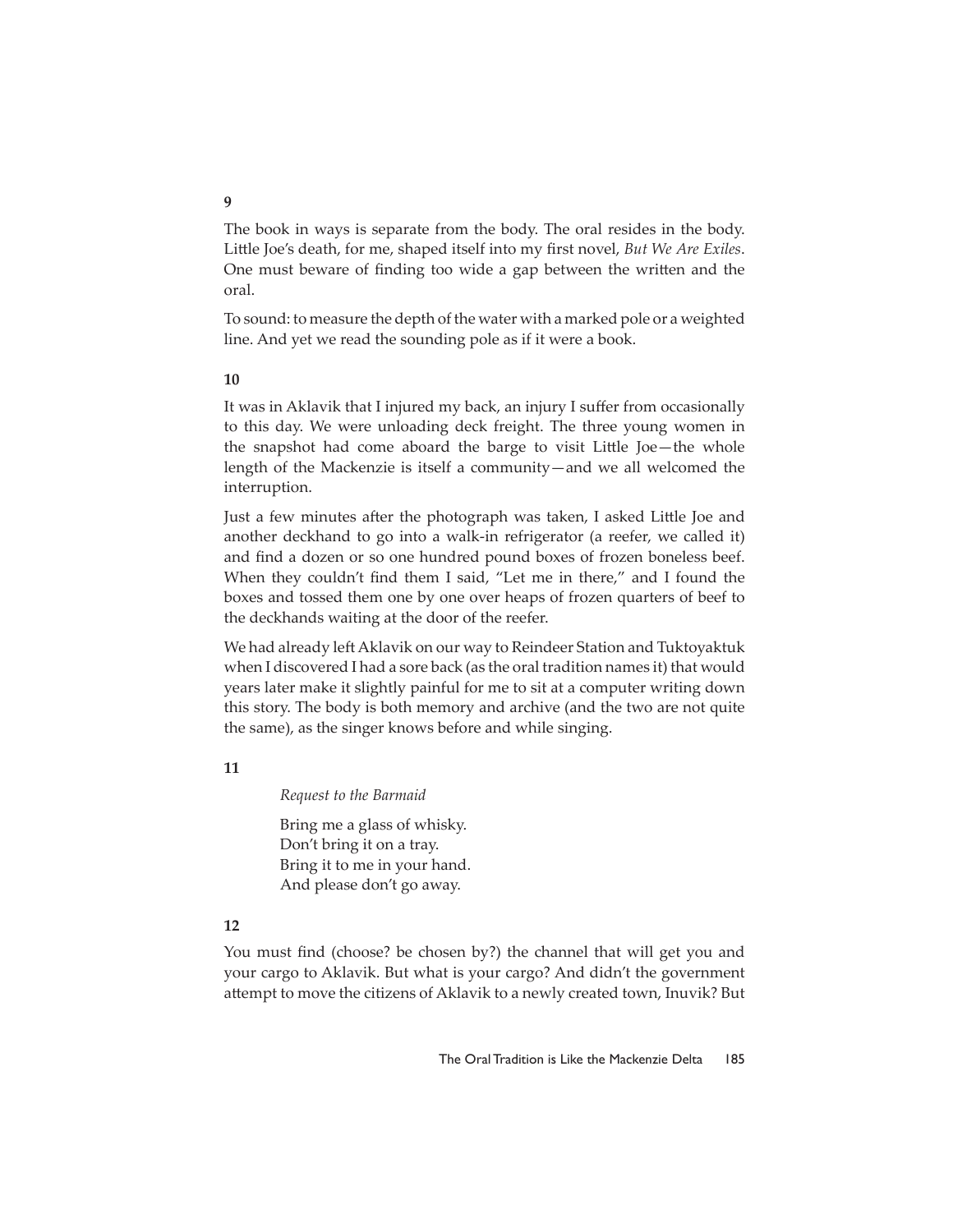The book in ways is separate from the body. The oral resides in the body. Little Joe's death, for me, shaped itself into my first novel, *But We Are Exiles*. One must beware of finding too wide a gap between the written and the oral.

To sound: to measure the depth of the water with a marked pole or a weighted line. And yet we read the sounding pole as if it were a book.

#### **10**

It was in Aklavik that I injured my back, an injury I suffer from occasionally to this day. We were unloading deck freight. The three young women in the snapshot had come aboard the barge to visit Little Joe-the whole length of the Mackenzie is itself a community—and we all welcomed the interruption.

Just a few minutes after the photograph was taken, I asked Little Joe and another deckhand to go into a walk-in refrigerator (a reefer, we called it) and find a dozen or so one hundred pound boxes of frozen boneless beef. When they couldn't find them I said, "Let me in there," and I found the boxes and tossed them one by one over heaps of frozen quarters of beef to the deckhands waiting at the door of the reefer.

We had already left Aklavik on our way to Reindeer Station and Tuktoyaktuk when I discovered I had a sore back (as the oral tradition names it) that would years later make it slightly painful for me to sit at a computer writing down this story. The body is both memory and archive (and the two are not quite the same), as the singer knows before and while singing.

#### **11**

*Request to the Barmaid*

Bring me a glass of whisky. Don't bring it on a tray. Bring it to me in your hand. And please don't go away.

## **12**

You must find (choose? be chosen by?) the channel that will get you and your cargo to Aklavik. But what is your cargo? And didn't the government attempt to move the citizens of Aklavik to a newly created town, Inuvik? But

#### **9**